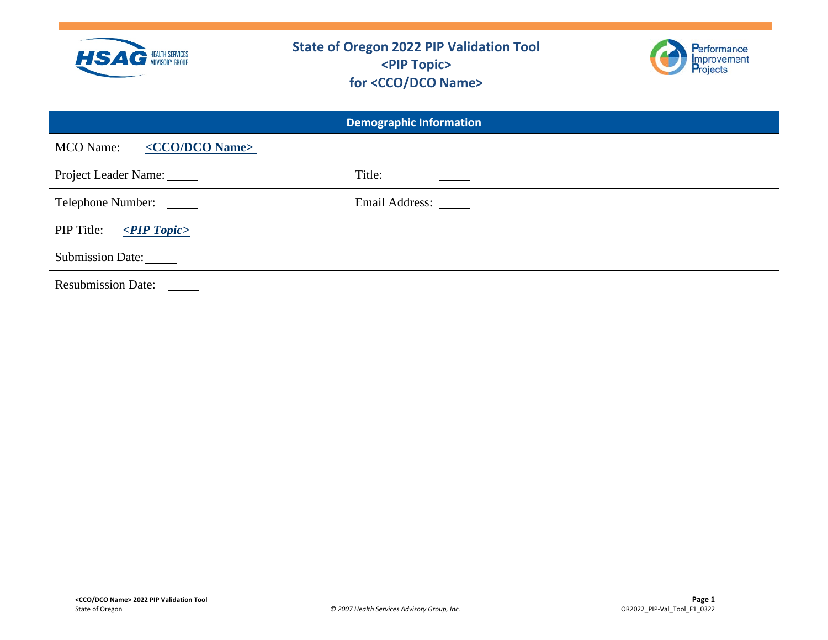



|                                                 | <b>Demographic Information</b> |
|-------------------------------------------------|--------------------------------|
| <cco dco="" name=""><br/><b>MCO</b> Name:</cco> |                                |
| Project Leader Name:                            | Title:                         |
| Telephone Number:                               | Email Address: ______          |
| PIP Title:<br>$\leq$ PIP Topic>                 |                                |
| Submission Date:                                |                                |
| <b>Resubmission Date:</b>                       |                                |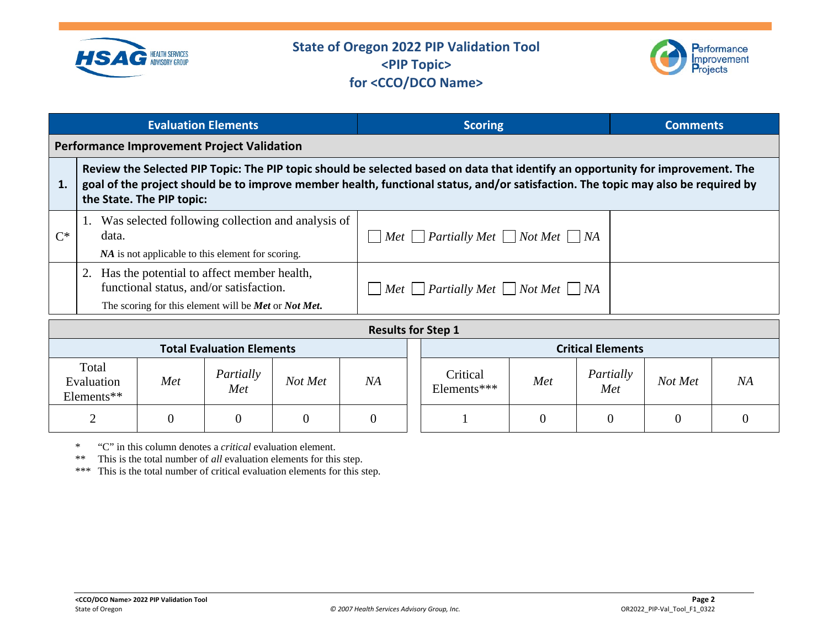



|       |                                   |                           | <b>Evaluation Elements</b>                                                                                                                              |                |                |                                                          | <b>Scoring</b>                                                                                                                                                                                                                                                       |          |                          | <b>Comments</b> |                |
|-------|-----------------------------------|---------------------------|---------------------------------------------------------------------------------------------------------------------------------------------------------|----------------|----------------|----------------------------------------------------------|----------------------------------------------------------------------------------------------------------------------------------------------------------------------------------------------------------------------------------------------------------------------|----------|--------------------------|-----------------|----------------|
|       |                                   |                           | <b>Performance Improvement Project Validation</b>                                                                                                       |                |                |                                                          |                                                                                                                                                                                                                                                                      |          |                          |                 |                |
| 1.    |                                   | the State. The PIP topic: |                                                                                                                                                         |                |                |                                                          | Review the Selected PIP Topic: The PIP topic should be selected based on data that identify an opportunity for improvement. The<br>goal of the project should be to improve member health, functional status, and/or satisfaction. The topic may also be required by |          |                          |                 |                |
| $C^*$ | data.                             |                           | Was selected following collection and analysis of<br>NA is not applicable to this element for scoring.                                                  |                |                |                                                          | $\Box$ Met $\Box$ Partially Met $\Box$ Not Met $\Box$ NA                                                                                                                                                                                                             |          |                          |                 |                |
|       |                                   |                           | 2. Has the potential to affect member health,<br>functional status, and/or satisfaction.<br>The scoring for this element will be <b>Met</b> or Not Met. |                |                | $\Box$ Met $\Box$ Partially Met $\Box$ Not Met $\Box$ NA |                                                                                                                                                                                                                                                                      |          |                          |                 |                |
|       |                                   |                           |                                                                                                                                                         |                |                |                                                          | <b>Results for Step 1</b>                                                                                                                                                                                                                                            |          |                          |                 |                |
|       |                                   |                           | <b>Total Evaluation Elements</b>                                                                                                                        |                |                |                                                          |                                                                                                                                                                                                                                                                      |          | <b>Critical Elements</b> |                 |                |
|       | Total<br>Evaluation<br>Elements** | Met                       | Partially<br>Met                                                                                                                                        | Not Met        | NA             |                                                          | Critical<br>Elements***                                                                                                                                                                                                                                              | Met      | Partially<br>Met         | Not Met         | NA             |
|       | $\overline{2}$                    | $\overline{0}$            | $\overline{0}$                                                                                                                                          | $\overline{0}$ | $\overline{0}$ |                                                          |                                                                                                                                                                                                                                                                      | $\Omega$ | 0                        | 0               | $\overline{0}$ |

\* "C" in this column denotes a *critical* evaluation element.

This is the total number of *all* evaluation elements for this step.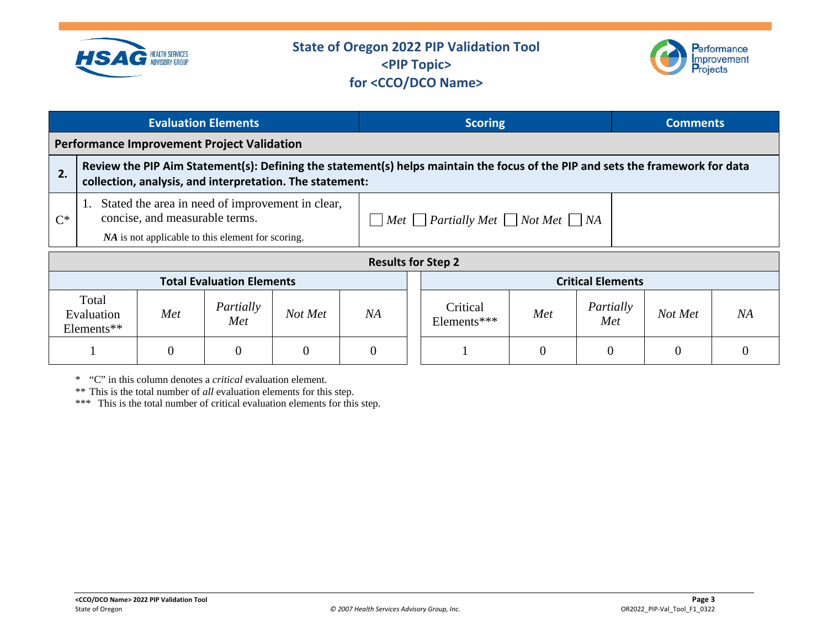

Elements\*\*

## **State of Oregon 2022 PIP Validation Tool <PIP Topic> for <CCO/DCO Name>**



|       |                                                                                                                                                                                                            |     | <b>Evaluation Elements</b>                        |                                                          |    |  | <b>Scoring</b>                                                                                                                 |     |                          | <b>Comments</b> |    |
|-------|------------------------------------------------------------------------------------------------------------------------------------------------------------------------------------------------------------|-----|---------------------------------------------------|----------------------------------------------------------|----|--|--------------------------------------------------------------------------------------------------------------------------------|-----|--------------------------|-----------------|----|
|       |                                                                                                                                                                                                            |     | <b>Performance Improvement Project Validation</b> |                                                          |    |  |                                                                                                                                |     |                          |                 |    |
| 2.    |                                                                                                                                                                                                            |     |                                                   | collection, analysis, and interpretation. The statement: |    |  | Review the PIP Aim Statement(s): Defining the statement(s) helps maintain the focus of the PIP and sets the framework for data |     |                          |                 |    |
| $C^*$ | Stated the area in need of improvement in clear,<br>concise, and measurable terms.<br>$\Box$ Met $\Box$ Partially Met $\Box$ Not Met $\Box$ NA<br><i>NA</i> is not applicable to this element for scoring. |     |                                                   |                                                          |    |  |                                                                                                                                |     |                          |                 |    |
|       |                                                                                                                                                                                                            |     |                                                   |                                                          |    |  | <b>Results for Step 2</b>                                                                                                      |     |                          |                 |    |
|       |                                                                                                                                                                                                            |     | <b>Total Evaluation Elements</b>                  |                                                          |    |  |                                                                                                                                |     | <b>Critical Elements</b> |                 |    |
|       | Total<br>Evaluation<br>$\Gamma$ lamanta $\ddot{x}$                                                                                                                                                         | Met | Partially<br>Met                                  | Not Met                                                  | NA |  | Critical<br>Elements***                                                                                                        | Met | Partially<br>Met         | Not Met         | NA |

 $1 \quad 0 \quad 0 \quad 0 \quad 0 \quad 0 \quad 0 \quad 1 \quad 1 \quad 0 \quad 0 \quad 0 \quad 0$ 

\* "C" in this column denotes a *critical* evaluation element.

\*\* This is the total number of *all* evaluation elements for this step.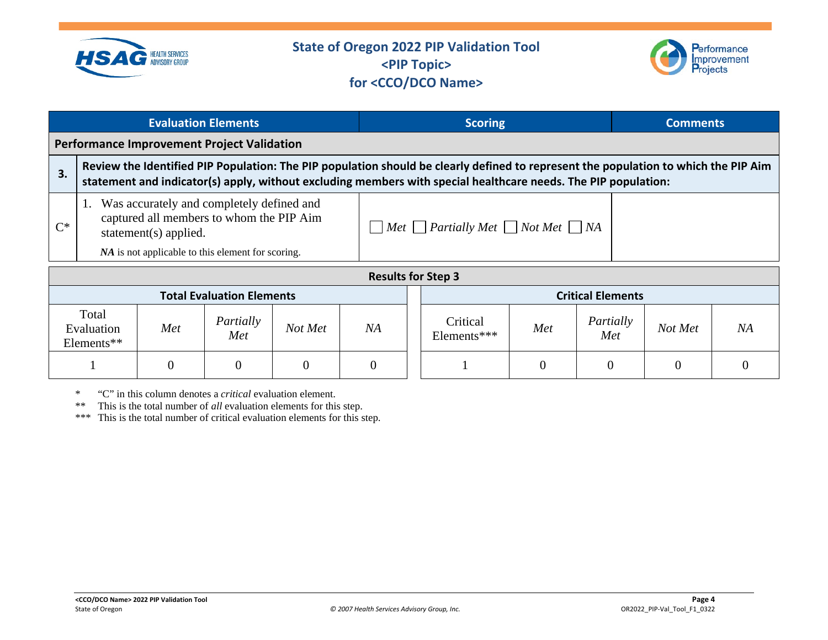



|       |                                   |                       | <b>Evaluation Elements</b>                                                                                                                 |                |          | <b>Scoring</b>                                           |                                                                                                                                                                                                                                                       |          |                          | <b>Comments</b> |              |  |  |
|-------|-----------------------------------|-----------------------|--------------------------------------------------------------------------------------------------------------------------------------------|----------------|----------|----------------------------------------------------------|-------------------------------------------------------------------------------------------------------------------------------------------------------------------------------------------------------------------------------------------------------|----------|--------------------------|-----------------|--------------|--|--|
|       |                                   |                       | <b>Performance Improvement Project Validation</b>                                                                                          |                |          |                                                          |                                                                                                                                                                                                                                                       |          |                          |                 |              |  |  |
| 3.    |                                   |                       |                                                                                                                                            |                |          |                                                          | Review the Identified PIP Population: The PIP population should be clearly defined to represent the population to which the PIP Aim<br>statement and indicator(s) apply, without excluding members with special healthcare needs. The PIP population: |          |                          |                 |              |  |  |
| $C^*$ |                                   | statement(s) applied. | Was accurately and completely defined and<br>captured all members to whom the PIP Aim<br>NA is not applicable to this element for scoring. |                |          | $\Box$ Met $\Box$ Partially Met $\Box$ Not Met $\Box$ NA |                                                                                                                                                                                                                                                       |          |                          |                 |              |  |  |
|       |                                   |                       |                                                                                                                                            |                |          |                                                          | <b>Results for Step 3</b>                                                                                                                                                                                                                             |          |                          |                 |              |  |  |
|       |                                   |                       | <b>Total Evaluation Elements</b>                                                                                                           |                |          |                                                          |                                                                                                                                                                                                                                                       |          | <b>Critical Elements</b> |                 |              |  |  |
|       | Total<br>Evaluation<br>Elements** | Met                   | Partially<br>Met                                                                                                                           | Not Met        | NA       |                                                          | Critical<br>Elements***                                                                                                                                                                                                                               | Met      | Partially<br>Met         | Not Met         | NA           |  |  |
|       |                                   | $\overline{0}$        | $\overline{0}$                                                                                                                             | $\overline{0}$ | $\theta$ |                                                          |                                                                                                                                                                                                                                                       | $\Omega$ | $\theta$                 | $\overline{0}$  | $\mathbf{0}$ |  |  |

\* "C" in this column denotes a *critical* evaluation element.

This is the total number of *all* evaluation elements for this step.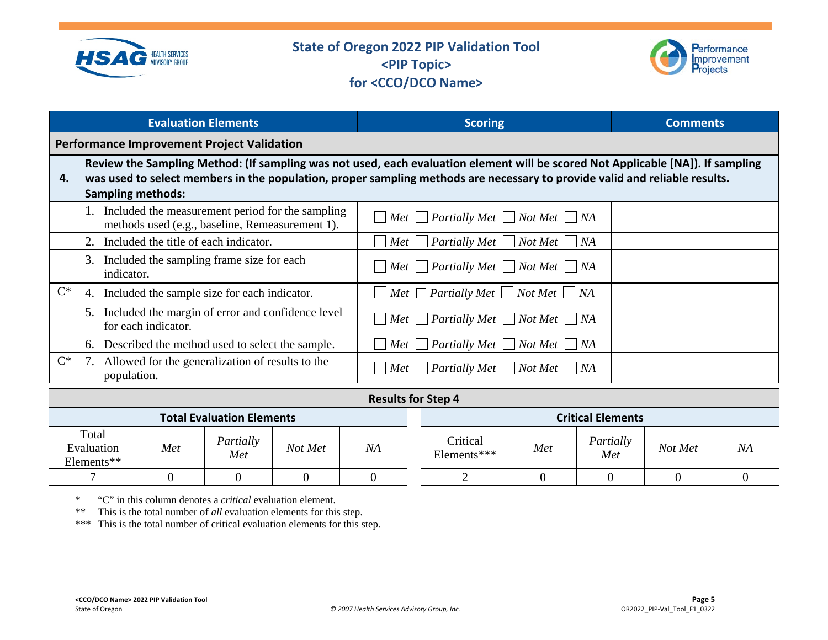



|       | <b>Evaluation Elements</b>                                                                                                                                                                                                                                                                | <b>Scoring</b>                                                   | <b>Comments</b> |
|-------|-------------------------------------------------------------------------------------------------------------------------------------------------------------------------------------------------------------------------------------------------------------------------------------------|------------------------------------------------------------------|-----------------|
|       | <b>Performance Improvement Project Validation</b>                                                                                                                                                                                                                                         |                                                                  |                 |
| 4.    | Review the Sampling Method: (If sampling was not used, each evaluation element will be scored Not Applicable [NA]). If sampling<br>was used to select members in the population, proper sampling methods are necessary to provide valid and reliable results.<br><b>Sampling methods:</b> |                                                                  |                 |
|       | Included the measurement period for the sampling<br>methods used (e.g., baseline, Remeasurement 1).                                                                                                                                                                                       | $\Box$ Met $\Box$ Partially Met $\Box$ Not Met $\Box$ NA         |                 |
|       | Included the title of each indicator.                                                                                                                                                                                                                                                     | $\Box$ Met $\Box$ Partially Met $\Box$ Not Met $\Box$ NA         |                 |
|       | Included the sampling frame size for each<br>3.<br>indicator.                                                                                                                                                                                                                             | $M$ et $\Box$ Partially Met $\Box$ Not Met $\Box$ NA             |                 |
| $C^*$ | 4. Included the sample size for each indicator.                                                                                                                                                                                                                                           | $M$ et $\Box$ Partially Met $\Box$ Not Met $\Box$ NA             |                 |
|       | Included the margin of error and confidence level<br>5.<br>for each indicator.                                                                                                                                                                                                            | $\Box$ Met $\Box$ Partially Met $\Box$ Not Met $\Box$ NA         |                 |
|       | Described the method used to select the sample.<br>6.                                                                                                                                                                                                                                     | $Met \bigsqcup$ Partially Met $\bigsqcup$ Not Met $\bigsqcup$ NA |                 |
| $C^*$ | Allowed for the generalization of results to the<br>7.<br>population.                                                                                                                                                                                                                     | $\Box$ Met $\Box$ Partially Met $\Box$ Not Met $\Box$ NA         |                 |

|                                   | <b>Results for Step 4</b> |                  |         |    |  |                          |     |                  |         |    |  |  |
|-----------------------------------|---------------------------|------------------|---------|----|--|--------------------------|-----|------------------|---------|----|--|--|
| <b>Total Evaluation Elements</b>  |                           |                  |         |    |  | <b>Critical Elements</b> |     |                  |         |    |  |  |
| Total<br>Evaluation<br>Elements** | Met                       | Partially<br>Met | Not Met | NΑ |  | Critical<br>Elements***  | Met | Partially<br>Met | Not Met | NA |  |  |
|                                   |                           |                  |         |    |  |                          |     |                  |         |    |  |  |

\* "C" in this column denotes a *critical* evaluation element.

\*\* This is the total number of *all* evaluation elements for this step.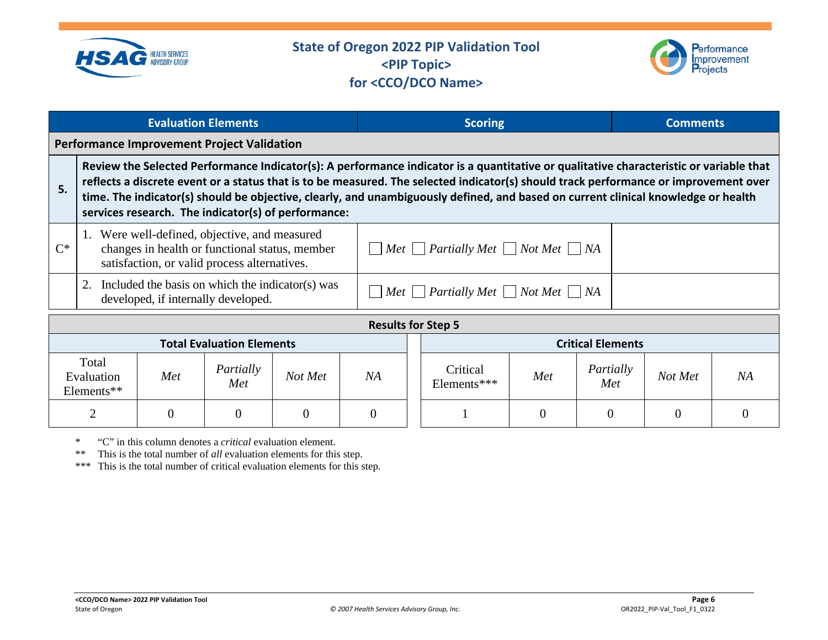



|       |                                                                                                                                                                                                             | <b>Evaluation Elements</b> |                                                                                         |         |                                                          |                          | <b>Scoring</b>                                                                                                                                                                                                                                                                                                                                                                                                      |  |         |    | <b>Comments</b> |  |
|-------|-------------------------------------------------------------------------------------------------------------------------------------------------------------------------------------------------------------|----------------------------|-----------------------------------------------------------------------------------------|---------|----------------------------------------------------------|--------------------------|---------------------------------------------------------------------------------------------------------------------------------------------------------------------------------------------------------------------------------------------------------------------------------------------------------------------------------------------------------------------------------------------------------------------|--|---------|----|-----------------|--|
|       |                                                                                                                                                                                                             |                            | <b>Performance Improvement Project Validation</b>                                       |         |                                                          |                          |                                                                                                                                                                                                                                                                                                                                                                                                                     |  |         |    |                 |  |
| 5.    |                                                                                                                                                                                                             |                            | services research. The indicator(s) of performance:                                     |         |                                                          |                          | Review the Selected Performance Indicator(s): A performance indicator is a quantitative or qualitative characteristic or variable that<br>reflects a discrete event or a status that is to be measured. The selected indicator(s) should track performance or improvement over<br>time. The indicator(s) should be objective, clearly, and unambiguously defined, and based on current clinical knowledge or health |  |         |    |                 |  |
| $C^*$ | 1. Were well-defined, objective, and measured<br>$\Box$ Met $\Box$ Partially Met $\Box$ Not Met $\Box$ NA<br>changes in health or functional status, member<br>satisfaction, or valid process alternatives. |                            |                                                                                         |         |                                                          |                          |                                                                                                                                                                                                                                                                                                                                                                                                                     |  |         |    |                 |  |
|       | 2.                                                                                                                                                                                                          |                            | Included the basis on which the indicator(s) was<br>developed, if internally developed. |         |                                                          |                          | $\Box$ Met $\Box$ Partially Met $\Box$ Not Met $\Box$ NA                                                                                                                                                                                                                                                                                                                                                            |  |         |    |                 |  |
|       |                                                                                                                                                                                                             |                            |                                                                                         |         |                                                          |                          | <b>Results for Step 5</b>                                                                                                                                                                                                                                                                                                                                                                                           |  |         |    |                 |  |
|       | <b>Total Evaluation Elements</b>                                                                                                                                                                            |                            |                                                                                         |         |                                                          | <b>Critical Elements</b> |                                                                                                                                                                                                                                                                                                                                                                                                                     |  |         |    |                 |  |
|       | Total<br>Evaluation<br>Elementek                                                                                                                                                                            | Met                        | Partially<br>Met                                                                        | Not Met | Critical<br>Partially<br>Met<br>NA<br>Elements***<br>Met |                          |                                                                                                                                                                                                                                                                                                                                                                                                                     |  | Not Met | NA |                 |  |

 $2 \quad | \quad 0 \quad | \quad 0 \quad | \quad 0 \quad | \quad 0 \quad | \quad 1 \quad | \quad 0 \quad | \quad 0 \quad | \quad 0 \quad | \quad 0$ 

\* "C" in this column denotes a *critical* evaluation element.

\*\* This is the total number of *all* evaluation elements for this step.

\*\*\* This is the total number of critical evaluation elements for this step.

Elements\*\*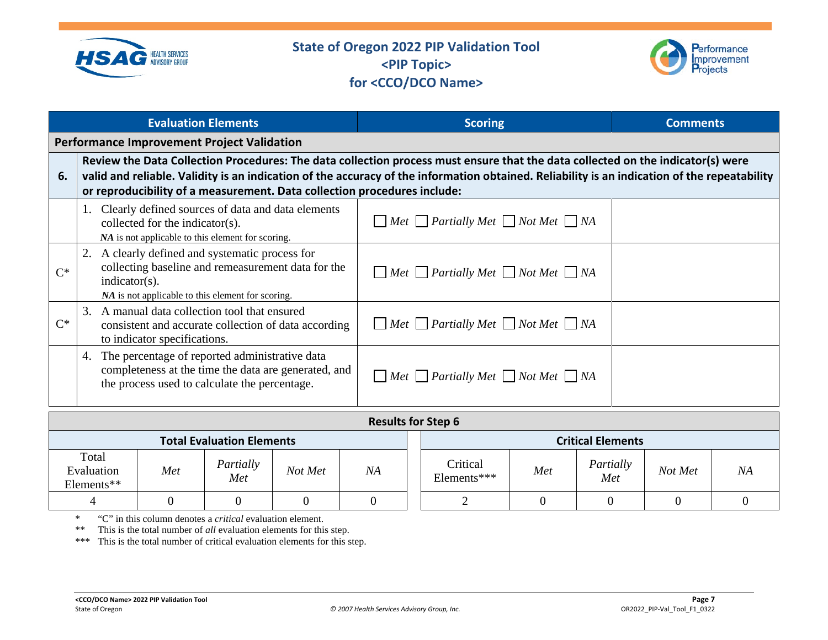



|             | <b>Evaluation Elements</b>                                                                                                                                                                                                                                                                                                                                  | <b>Scoring</b>                                           | <b>Comments</b> |
|-------------|-------------------------------------------------------------------------------------------------------------------------------------------------------------------------------------------------------------------------------------------------------------------------------------------------------------------------------------------------------------|----------------------------------------------------------|-----------------|
|             | <b>Performance Improvement Project Validation</b>                                                                                                                                                                                                                                                                                                           |                                                          |                 |
| 6.          | Review the Data Collection Procedures: The data collection process must ensure that the data collected on the indicator(s) were<br>valid and reliable. Validity is an indication of the accuracy of the information obtained. Reliability is an indication of the repeatability<br>or reproducibility of a measurement. Data collection procedures include: |                                                          |                 |
|             | Clearly defined sources of data and data elements<br>collected for the indicator(s).<br>NA is not applicable to this element for scoring.                                                                                                                                                                                                                   | $Met$ Partially Met $\Box$ Not Met $\Box$ NA             |                 |
| $\bigcap^*$ | 2. A clearly defined and systematic process for<br>collecting baseline and remeasurement data for the<br>$indication(s)$ .<br>NA is not applicable to this element for scoring.                                                                                                                                                                             | $\Box$ Met $\Box$ Partially Met $\Box$ Not Met $\Box$ NA |                 |
| $C^*$       | 3. A manual data collection tool that ensured<br>consistent and accurate collection of data according<br>to indicator specifications.                                                                                                                                                                                                                       | $\Box$ Met $\Box$ Partially Met $\Box$ Not Met $\Box$ NA |                 |
|             | 4. The percentage of reported administrative data<br>completeness at the time the data are generated, and<br>the process used to calculate the percentage.                                                                                                                                                                                                  | $\Box$ Met $\Box$ Partially Met $\Box$ Not Met $\Box$ NA |                 |

|                                   | <b>Results for Step 6</b> |                                  |         |    |  |                         |     |                          |         |           |  |  |
|-----------------------------------|---------------------------|----------------------------------|---------|----|--|-------------------------|-----|--------------------------|---------|-----------|--|--|
|                                   |                           | <b>Total Evaluation Elements</b> |         |    |  |                         |     | <b>Critical Elements</b> |         |           |  |  |
| Total<br>Evaluation<br>Elements** | Met                       | Partially<br>Met                 | Not Met | NA |  | Critical<br>Elements*** | Met | Partially<br>Met         | Not Met | <b>NA</b> |  |  |
|                                   |                           |                                  | 0       |    |  |                         |     |                          |         |           |  |  |

\* "C" in this column denotes a *critical* evaluation element.

\*\* This is the total number of *all* evaluation elements for this step.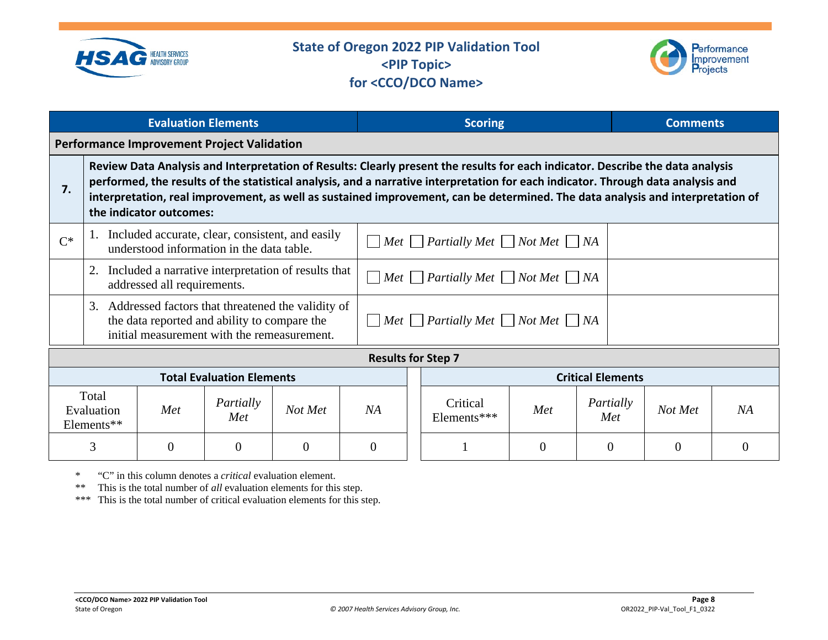



|       |                                   | <b>Evaluation Elements</b>  |                                                                                                                                                     |                |          |                                                          | <b>Scoring</b>                                                                                                                                                                                                                                                                                                                                                                                       |                |                          |                  | <b>Comments</b> |          |
|-------|-----------------------------------|-----------------------------|-----------------------------------------------------------------------------------------------------------------------------------------------------|----------------|----------|----------------------------------------------------------|------------------------------------------------------------------------------------------------------------------------------------------------------------------------------------------------------------------------------------------------------------------------------------------------------------------------------------------------------------------------------------------------------|----------------|--------------------------|------------------|-----------------|----------|
|       |                                   |                             | <b>Performance Improvement Project Validation</b>                                                                                                   |                |          |                                                          |                                                                                                                                                                                                                                                                                                                                                                                                      |                |                          |                  |                 |          |
| 7.    |                                   | the indicator outcomes:     |                                                                                                                                                     |                |          |                                                          | Review Data Analysis and Interpretation of Results: Clearly present the results for each indicator. Describe the data analysis<br>performed, the results of the statistical analysis, and a narrative interpretation for each indicator. Through data analysis and<br>interpretation, real improvement, as well as sustained improvement, can be determined. The data analysis and interpretation of |                |                          |                  |                 |          |
| $C^*$ |                                   |                             | 1. Included accurate, clear, consistent, and easily<br>understood information in the data table.                                                    |                |          |                                                          | $\Box$ Met $\Box$ Partially Met $\Box$ Not Met $\Box$ NA                                                                                                                                                                                                                                                                                                                                             |                |                          |                  |                 |          |
|       |                                   | addressed all requirements. | 2. Included a narrative interpretation of results that                                                                                              |                |          | $\Box$ Met $\Box$ Partially Met $\Box$ Not Met $\Box$ NA |                                                                                                                                                                                                                                                                                                                                                                                                      |                |                          |                  |                 |          |
|       |                                   |                             | 3. Addressed factors that threatened the validity of<br>the data reported and ability to compare the<br>initial measurement with the remeasurement. |                |          | $M$ et $P$ artially Met $N$ ot Met $N$ A                 |                                                                                                                                                                                                                                                                                                                                                                                                      |                |                          |                  |                 |          |
|       |                                   |                             |                                                                                                                                                     |                |          |                                                          | <b>Results for Step 7</b>                                                                                                                                                                                                                                                                                                                                                                            |                |                          |                  |                 |          |
|       |                                   |                             | <b>Total Evaluation Elements</b>                                                                                                                    |                |          |                                                          |                                                                                                                                                                                                                                                                                                                                                                                                      |                | <b>Critical Elements</b> |                  |                 |          |
|       | Total<br>Evaluation<br>Elements** | Met                         | Partially<br>Met                                                                                                                                    | Not Met        | NA       |                                                          | Critical<br>Elements***                                                                                                                                                                                                                                                                                                                                                                              | Met            |                          | Partially<br>Met | Not Met         | NA       |
|       | $\overline{3}$                    | $\theta$                    | $\overline{0}$                                                                                                                                      | $\overline{0}$ | $\theta$ |                                                          |                                                                                                                                                                                                                                                                                                                                                                                                      | $\overline{0}$ |                          | $\Omega$         | $\theta$        | $\theta$ |

\* "C" in this column denotes a *critical* evaluation element.

\*\* This is the total number of *all* evaluation elements for this step.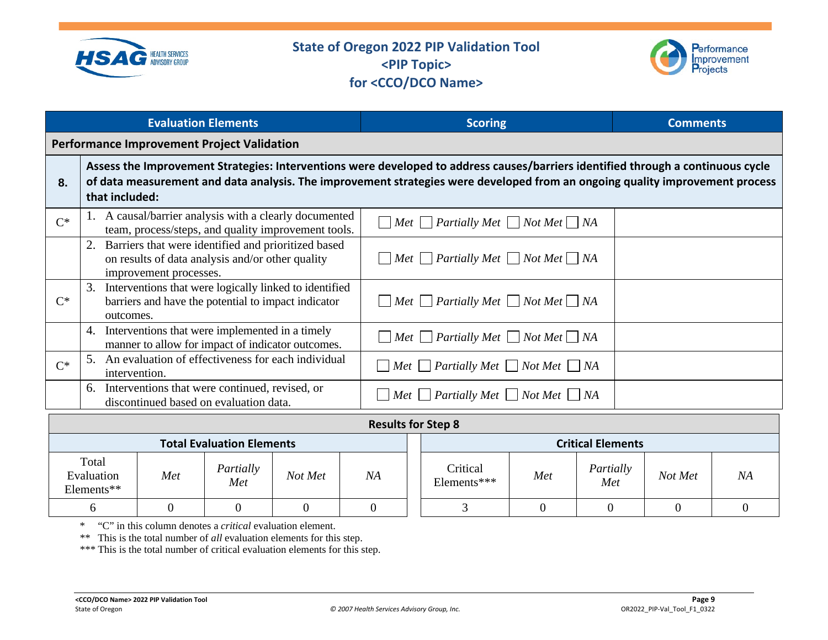



|       | <b>Evaluation Elements</b>                                                                                                                                                                                                                                                         | <b>Scoring</b>                                                                    | <b>Comments</b> |
|-------|------------------------------------------------------------------------------------------------------------------------------------------------------------------------------------------------------------------------------------------------------------------------------------|-----------------------------------------------------------------------------------|-----------------|
|       | <b>Performance Improvement Project Validation</b>                                                                                                                                                                                                                                  |                                                                                   |                 |
| 8.    | Assess the Improvement Strategies: Interventions were developed to address causes/barriers identified through a continuous cycle<br>of data measurement and data analysis. The improvement strategies were developed from an ongoing quality improvement process<br>that included: |                                                                                   |                 |
| $C^*$ | A causal/barrier analysis with a clearly documented<br>team, process/steps, and quality improvement tools.                                                                                                                                                                         | $\Box$ Met $\Box$ Partially Met $\Box$ Not Met $\Box$ NA                          |                 |
|       | 2. Barriers that were identified and prioritized based<br>on results of data analysis and/or other quality<br>improvement processes.                                                                                                                                               | $\Box$ Met $\Box$ Partially Met $\Box$ Not Met $\Box$ NA                          |                 |
| $C^*$ | Interventions that were logically linked to identified<br>3.<br>barriers and have the potential to impact indicator<br>outcomes.                                                                                                                                                   | $\Box$ Met $\Box$ Partially Met $\Box$ Not Met $\Box$ NA                          |                 |
|       | Interventions that were implemented in a timely<br>4.<br>manner to allow for impact of indicator outcomes.                                                                                                                                                                         | $\Box$ Met $\Box$ Partially Met $\Box$ Not Met $\Box$ NA                          |                 |
| $C^*$ | An evaluation of effectiveness for each individual<br>intervention.                                                                                                                                                                                                                | $\Box$ Met $\Box$ Partially Met $\Box$ Not Met $\Box$ NA                          |                 |
|       | Interventions that were continued, revised, or<br>6.<br>discontinued based on evaluation data.                                                                                                                                                                                     | Met $\Box$ Partially Met $\Box$ Not Met $\Box$ NA<br>$\vert \hspace{.06cm} \vert$ |                 |

|                                   |     |                  |         |    |  | <b>Results for Step 8</b> |     |                  |         |    |
|-----------------------------------|-----|------------------|---------|----|--|---------------------------|-----|------------------|---------|----|
| <b>Total Evaluation Elements</b>  |     |                  |         |    |  | <b>Critical Elements</b>  |     |                  |         |    |
| Total<br>Evaluation<br>Elements** | Met | Partially<br>Met | Not Met | NA |  | Critical<br>Elements***   | Met | Partially<br>Met | Not Met | ΝA |
|                                   |     |                  |         |    |  |                           |     |                  |         |    |

\* "C" in this column denotes a *critical* evaluation element.

\*\* This is the total number of *all* evaluation elements for this step.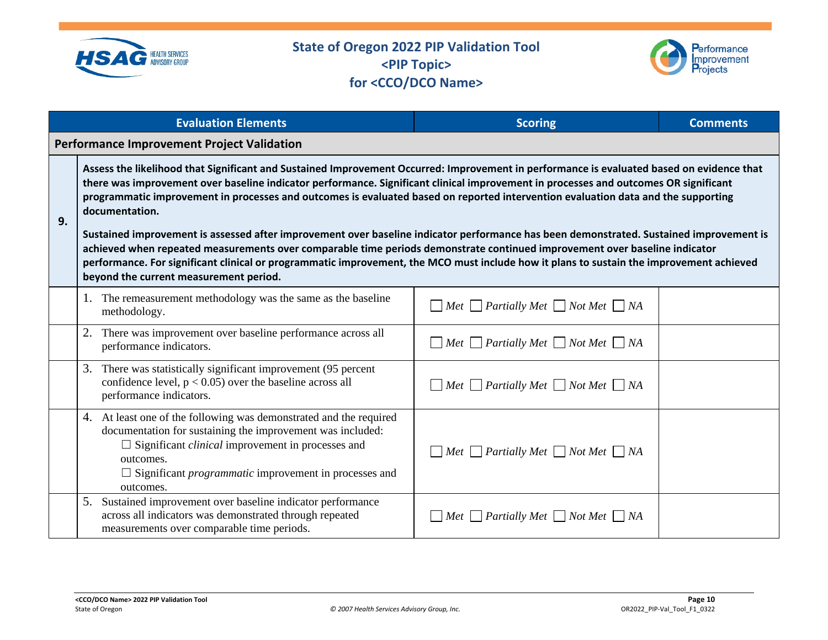



|    | <b>Evaluation Elements</b>                                                                                                                                                                                                                                                                                                                                                                                                                                                                                                                                                                                                                                                                                                                                                                                                                                                                              | <b>Scoring</b>                                           | <b>Comments</b> |  |  |  |  |  |
|----|---------------------------------------------------------------------------------------------------------------------------------------------------------------------------------------------------------------------------------------------------------------------------------------------------------------------------------------------------------------------------------------------------------------------------------------------------------------------------------------------------------------------------------------------------------------------------------------------------------------------------------------------------------------------------------------------------------------------------------------------------------------------------------------------------------------------------------------------------------------------------------------------------------|----------------------------------------------------------|-----------------|--|--|--|--|--|
|    | <b>Performance Improvement Project Validation</b>                                                                                                                                                                                                                                                                                                                                                                                                                                                                                                                                                                                                                                                                                                                                                                                                                                                       |                                                          |                 |  |  |  |  |  |
| 9. | Assess the likelihood that Significant and Sustained Improvement Occurred: Improvement in performance is evaluated based on evidence that<br>there was improvement over baseline indicator performance. Significant clinical improvement in processes and outcomes OR significant<br>programmatic improvement in processes and outcomes is evaluated based on reported intervention evaluation data and the supporting<br>documentation.<br>Sustained improvement is assessed after improvement over baseline indicator performance has been demonstrated. Sustained improvement is<br>achieved when repeated measurements over comparable time periods demonstrate continued improvement over baseline indicator<br>performance. For significant clinical or programmatic improvement, the MCO must include how it plans to sustain the improvement achieved<br>beyond the current measurement period. |                                                          |                 |  |  |  |  |  |
|    | 1. The remeasurement methodology was the same as the baseline<br>methodology.                                                                                                                                                                                                                                                                                                                                                                                                                                                                                                                                                                                                                                                                                                                                                                                                                           | $\Box$ Met $\Box$ Partially Met $\Box$ Not Met $\Box$ NA |                 |  |  |  |  |  |
|    | There was improvement over baseline performance across all<br>performance indicators.                                                                                                                                                                                                                                                                                                                                                                                                                                                                                                                                                                                                                                                                                                                                                                                                                   | $\Box$ Met $\Box$ Partially Met $\Box$ Not Met $\Box$ NA |                 |  |  |  |  |  |
|    | 3.<br>There was statistically significant improvement (95 percent<br>confidence level, $p < 0.05$ ) over the baseline across all<br>performance indicators.                                                                                                                                                                                                                                                                                                                                                                                                                                                                                                                                                                                                                                                                                                                                             | $\Box$ Met $\Box$ Partially Met $\Box$ Not Met $\Box$ NA |                 |  |  |  |  |  |
|    | At least one of the following was demonstrated and the required<br>4.<br>documentation for sustaining the improvement was included:<br>$\Box$ Significant <i>clinical</i> improvement in processes and<br>outcomes.<br>$\Box$ Significant <i>programmatic</i> improvement in processes and<br>outcomes.                                                                                                                                                                                                                                                                                                                                                                                                                                                                                                                                                                                                 | $\Box$ Met $\Box$ Partially Met $\Box$ Not Met $\Box$ NA |                 |  |  |  |  |  |
|    | Sustained improvement over baseline indicator performance<br>5.<br>across all indicators was demonstrated through repeated<br>measurements over comparable time periods.                                                                                                                                                                                                                                                                                                                                                                                                                                                                                                                                                                                                                                                                                                                                | $\Box$ Met $\Box$ Partially Met $\Box$ Not Met $\Box$ NA |                 |  |  |  |  |  |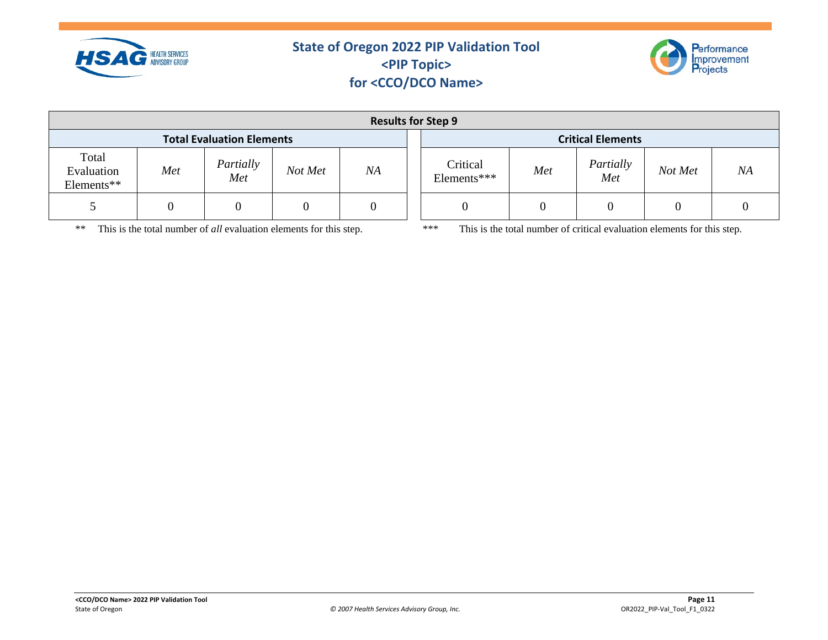



*Not Met NA*

| <b>Results for Step 9</b>         |     |                  |         |    |  |                          |     |                  |         |         |
|-----------------------------------|-----|------------------|---------|----|--|--------------------------|-----|------------------|---------|---------|
| <b>Total Evaluation Elements</b>  |     |                  |         |    |  | <b>Critical Elements</b> |     |                  |         |         |
| Total<br>Evaluation<br>Elements** | Met | Partially<br>Met | Not Met | NA |  | Critical<br>Elements***  | Met | Partially<br>Met | Not Met | $N_{A}$ |
|                                   |     |                  |         |    |  |                          |     |                  |         |         |

\*\* This is the total number of *all* evaluation elements for this step. \*\*\* This is the total number of critical evaluation elements for this step.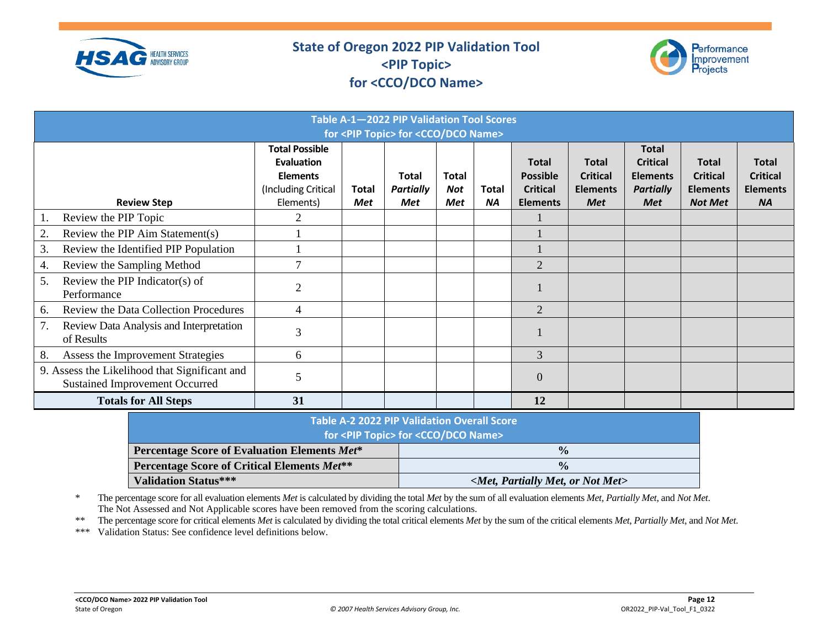



| Table A-1-2022 PIP Validation Tool Scores<br>for <pip topic=""> for <cco dco="" name=""></cco></pip> |                                                                                                   |                     |                                         |                            |                           |                                                                       |                                                                  |                                                                                      |                                                                      |                                                                 |
|------------------------------------------------------------------------------------------------------|---------------------------------------------------------------------------------------------------|---------------------|-----------------------------------------|----------------------------|---------------------------|-----------------------------------------------------------------------|------------------------------------------------------------------|--------------------------------------------------------------------------------------|----------------------------------------------------------------------|-----------------------------------------------------------------|
| <b>Review Step</b>                                                                                   | <b>Total Possible</b><br><b>Evaluation</b><br><b>Elements</b><br>(Including Critical<br>Elements) | Total<br><b>Met</b> | <b>Total</b><br><b>Partially</b><br>Met | Total<br>Not<br><b>Met</b> | <b>Total</b><br><b>NA</b> | <b>Total</b><br><b>Possible</b><br><b>Critical</b><br><b>Elements</b> | <b>Total</b><br><b>Critical</b><br><b>Elements</b><br><b>Met</b> | <b>Total</b><br><b>Critical</b><br><b>Elements</b><br><b>Partially</b><br><b>Met</b> | <b>Total</b><br><b>Critical</b><br><b>Elements</b><br><b>Not Met</b> | <b>Total</b><br><b>Critical</b><br><b>Elements</b><br><b>NA</b> |
| Review the PIP Topic                                                                                 |                                                                                                   |                     |                                         |                            |                           |                                                                       |                                                                  |                                                                                      |                                                                      |                                                                 |
| 2.<br>Review the PIP Aim Statement(s)                                                                |                                                                                                   |                     |                                         |                            |                           |                                                                       |                                                                  |                                                                                      |                                                                      |                                                                 |
| 3.<br>Review the Identified PIP Population                                                           |                                                                                                   |                     |                                         |                            |                           |                                                                       |                                                                  |                                                                                      |                                                                      |                                                                 |
| Review the Sampling Method<br>4.                                                                     | $\mathcal{I}$                                                                                     |                     |                                         |                            |                           | 2                                                                     |                                                                  |                                                                                      |                                                                      |                                                                 |
| 5.<br>Review the PIP Indicator(s) of<br>Performance                                                  | 2                                                                                                 |                     |                                         |                            |                           |                                                                       |                                                                  |                                                                                      |                                                                      |                                                                 |
| Review the Data Collection Procedures<br>6.                                                          | 4                                                                                                 |                     |                                         |                            |                           | 2                                                                     |                                                                  |                                                                                      |                                                                      |                                                                 |
| 7.<br>Review Data Analysis and Interpretation<br>of Results                                          | 3                                                                                                 |                     |                                         |                            |                           |                                                                       |                                                                  |                                                                                      |                                                                      |                                                                 |
| 8.<br>Assess the Improvement Strategies                                                              | 6                                                                                                 |                     |                                         |                            |                           | 3                                                                     |                                                                  |                                                                                      |                                                                      |                                                                 |
| 9. Assess the Likelihood that Significant and<br><b>Sustained Improvement Occurred</b>               | 5                                                                                                 |                     |                                         |                            |                           | $\Omega$                                                              |                                                                  |                                                                                      |                                                                      |                                                                 |
| <b>Totals for All Steps</b>                                                                          | 31                                                                                                |                     |                                         |                            |                           | 12                                                                    |                                                                  |                                                                                      |                                                                      |                                                                 |

| Table A-2 2022 PIP Validation Overall Score<br>for <pip topic=""> for <cco dco="" name=""></cco></pip> |                                           |  |  |  |
|--------------------------------------------------------------------------------------------------------|-------------------------------------------|--|--|--|
| Percentage Score of Evaluation Elements Met*                                                           | $\frac{0}{0}$                             |  |  |  |
| Percentage Score of Critical Elements Met**                                                            | $\frac{0}{0}$                             |  |  |  |
| <b>Validation Status***</b>                                                                            | $\leq$ Met, Partially Met, or Not Met $>$ |  |  |  |

\* The percentage score for all evaluation elements *Met* is calculated by dividing the total *Met* by the sum of all evaluation elements *Met, Partially Met*, and *Not Met*. The Not Assessed and Not Applicable scores have been removed from the scoring calculations.

\*\* The percentage score for critical elements *Met* is calculated by dividing the total critical elements *Met* by the sum of the critical elements *Met*, *Partially Met*, and *Not Met*.

\*\*\* Validation Status: See confidence level definitions below.